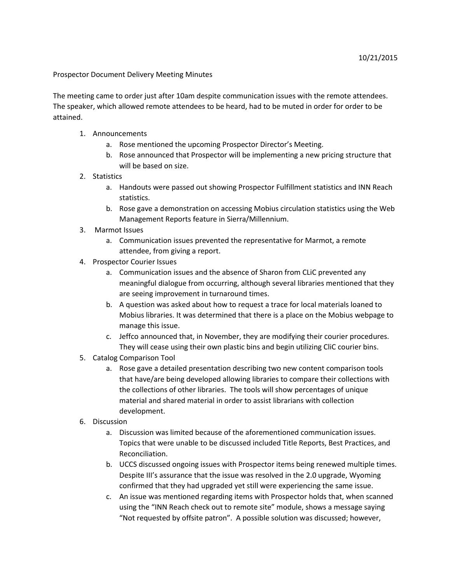## Prospector Document Delivery Meeting Minutes

The meeting came to order just after 10am despite communication issues with the remote attendees. The speaker, which allowed remote attendees to be heard, had to be muted in order for order to be attained.

- 1. Announcements
	- a. Rose mentioned the upcoming Prospector Director's Meeting.
	- b. Rose announced that Prospector will be implementing a new pricing structure that will be based on size.
- 2. Statistics
	- a. Handouts were passed out showing Prospector Fulfillment statistics and INN Reach statistics.
	- b. Rose gave a demonstration on accessing Mobius circulation statistics using the Web Management Reports feature in Sierra/Millennium.
- 3. Marmot Issues
	- a. Communication issues prevented the representative for Marmot, a remote attendee, from giving a report.
- 4. Prospector Courier Issues
	- a. Communication issues and the absence of Sharon from CLiC prevented any meaningful dialogue from occurring, although several libraries mentioned that they are seeing improvement in turnaround times.
	- b. A question was asked about how to request a trace for local materials loaned to Mobius libraries. It was determined that there is a place on the Mobius webpage to manage this issue.
	- c. Jeffco announced that, in November, they are modifying their courier procedures. They will cease using their own plastic bins and begin utilizing CliC courier bins.
- 5. Catalog Comparison Tool
	- a. Rose gave a detailed presentation describing two new content comparison tools that have/are being developed allowing libraries to compare their collections with the collections of other libraries. The tools will show percentages of unique material and shared material in order to assist librarians with collection development.
- 6. Discussion
	- a. Discussion was limited because of the aforementioned communication issues. Topics that were unable to be discussed included Title Reports, Best Practices, and Reconciliation.
	- b. UCCS discussed ongoing issues with Prospector items being renewed multiple times. Despite III's assurance that the issue was resolved in the 2.0 upgrade, Wyoming confirmed that they had upgraded yet still were experiencing the same issue.
	- c. An issue was mentioned regarding items with Prospector holds that, when scanned using the "INN Reach check out to remote site" module, shows a message saying "Not requested by offsite patron". A possible solution was discussed; however,